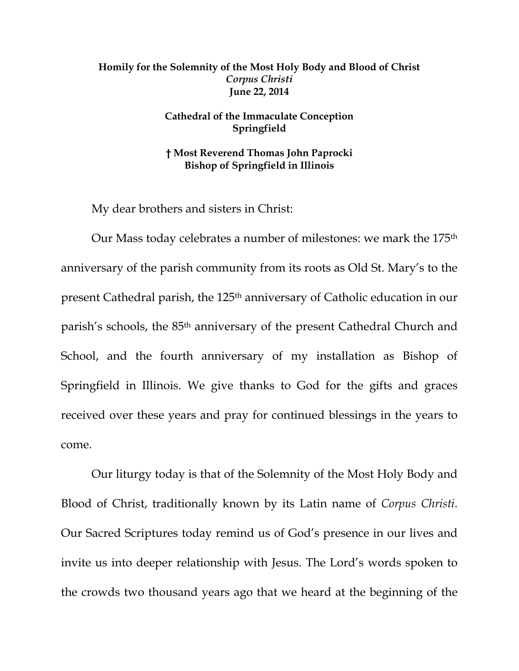## **Homily for the Solemnity of the Most Holy Body and Blood of Christ**  *Corpus Christi* **June 22, 2014**

## **Cathedral of the Immaculate Conception Springfield**

**† Most Reverend Thomas John Paprocki Bishop of Springfield in Illinois** 

My dear brothers and sisters in Christ:

Our Mass today celebrates a number of milestones: we mark the 175th anniversary of the parish community from its roots as Old St. Mary's to the present Cathedral parish, the 125th anniversary of Catholic education in our parish's schools, the 85th anniversary of the present Cathedral Church and School, and the fourth anniversary of my installation as Bishop of Springfield in Illinois. We give thanks to God for the gifts and graces received over these years and pray for continued blessings in the years to come.

Our liturgy today is that of the Solemnity of the Most Holy Body and Blood of Christ, traditionally known by its Latin name of *Corpus Christi*. Our Sacred Scriptures today remind us of God's presence in our lives and invite us into deeper relationship with Jesus. The Lord's words spoken to the crowds two thousand years ago that we heard at the beginning of the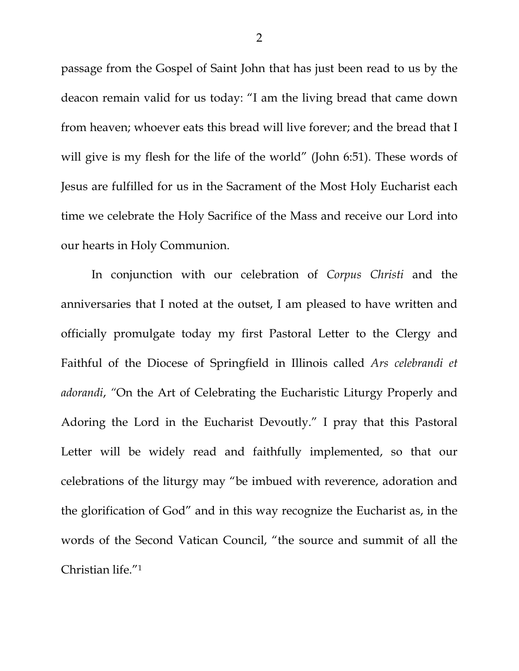passage from the Gospel of Saint John that has just been read to us by the deacon remain valid for us today: "I am the living bread that came down from heaven; whoever eats this bread will live forever; and the bread that I will give is my flesh for the life of the world" (John 6:51). These words of Jesus are fulfilled for us in the Sacrament of the Most Holy Eucharist each time we celebrate the Holy Sacrifice of the Mass and receive our Lord into our hearts in Holy Communion.

In conjunction with our celebration of *Corpus Christi* and the anniversaries that I noted at the outset, I am pleased to have written and officially promulgate today my first Pastoral Letter to the Clergy and Faithful of the Diocese of Springfield in Illinois called *Ars celebrandi et adorandi*, *"*On the Art of Celebrating the Eucharistic Liturgy Properly and Adoring the Lord in the Eucharist Devoutly." I pray that this Pastoral Letter will be widely read and faithfully implemented, so that our celebrations of the liturgy may "be imbued with reverence, adoration and the glorification of God" and in this way recognize the Eucharist as, in the words of the Second Vatican Council, "the source and summit of all the Christian life."1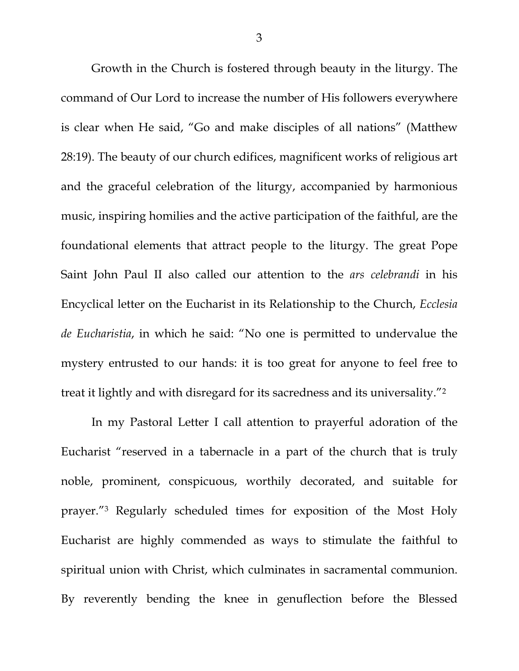Growth in the Church is fostered through beauty in the liturgy. The command of Our Lord to increase the number of His followers everywhere is clear when He said, "Go and make disciples of all nations" (Matthew 28:19). The beauty of our church edifices, magnificent works of religious art and the graceful celebration of the liturgy, accompanied by harmonious music, inspiring homilies and the active participation of the faithful, are the foundational elements that attract people to the liturgy. The great Pope Saint John Paul II also called our attention to the *ars celebrandi* in his Encyclical letter on the Eucharist in its Relationship to the Church, *Ecclesia de Eucharistia*, in which he said: "No one is permitted to undervalue the mystery entrusted to our hands: it is too great for anyone to feel free to treat it lightly and with disregard for its sacredness and its universality."2

In my Pastoral Letter I call attention to prayerful adoration of the Eucharist "reserved in a tabernacle in a part of the church that is truly noble, prominent, conspicuous, worthily decorated, and suitable for prayer."3 Regularly scheduled times for exposition of the Most Holy Eucharist are highly commended as ways to stimulate the faithful to spiritual union with Christ, which culminates in sacramental communion. By reverently bending the knee in genuflection before the Blessed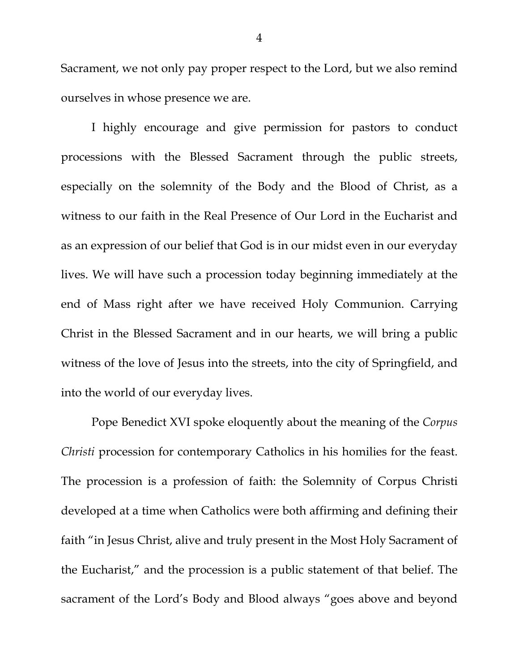Sacrament, we not only pay proper respect to the Lord, but we also remind ourselves in whose presence we are.

I highly encourage and give permission for pastors to conduct processions with the Blessed Sacrament through the public streets, especially on the solemnity of the Body and the Blood of Christ, as a witness to our faith in the Real Presence of Our Lord in the Eucharist and as an expression of our belief that God is in our midst even in our everyday lives. We will have such a procession today beginning immediately at the end of Mass right after we have received Holy Communion. Carrying Christ in the Blessed Sacrament and in our hearts, we will bring a public witness of the love of Jesus into the streets, into the city of Springfield, and into the world of our everyday lives.

 Pope Benedict XVI spoke eloquently about the meaning of the *Corpus Christi procession for contemporary Catholics in his homilies for the feast.* The procession is a profession of faith: the Solemnity of Corpus Christi developed at a time when Catholics were both affirming and defining their faith "in Jesus Christ, alive and truly present in the Most Holy Sacrament of the Eucharist," and the procession is a public statement of that belief. The sacrament of the Lord's Body and Blood always "goes above and beyond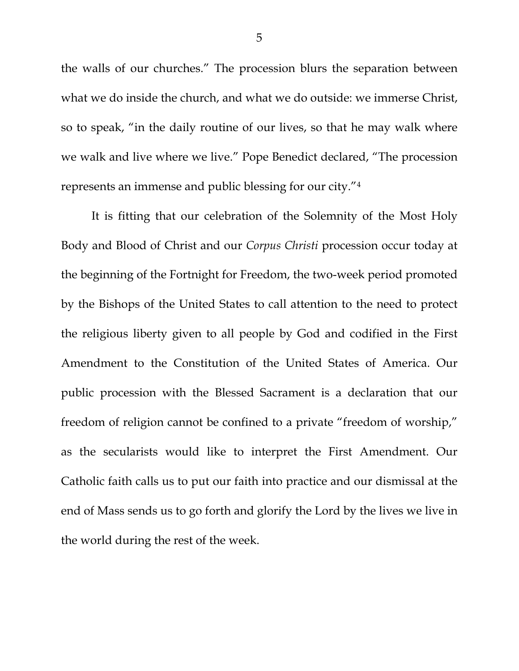the walls of our churches." The procession blurs the separation between what we do inside the church, and what we do outside: we immerse Christ, so to speak, "in the daily routine of our lives, so that he may walk where we walk and live where we live." Pope Benedict declared, "The procession represents an immense and public blessing for our city."4

 It is fitting that our celebration of the Solemnity of the Most Holy Body and Blood of Christ and our *Corpus Christi* procession occur today at the beginning of the Fortnight for Freedom, the two-week period promoted by the Bishops of the United States to call attention to the need to protect the religious liberty given to all people by God and codified in the First Amendment to the Constitution of the United States of America. Our public procession with the Blessed Sacrament is a declaration that our freedom of religion cannot be confined to a private "freedom of worship," as the secularists would like to interpret the First Amendment. Our Catholic faith calls us to put our faith into practice and our dismissal at the end of Mass sends us to go forth and glorify the Lord by the lives we live in the world during the rest of the week.